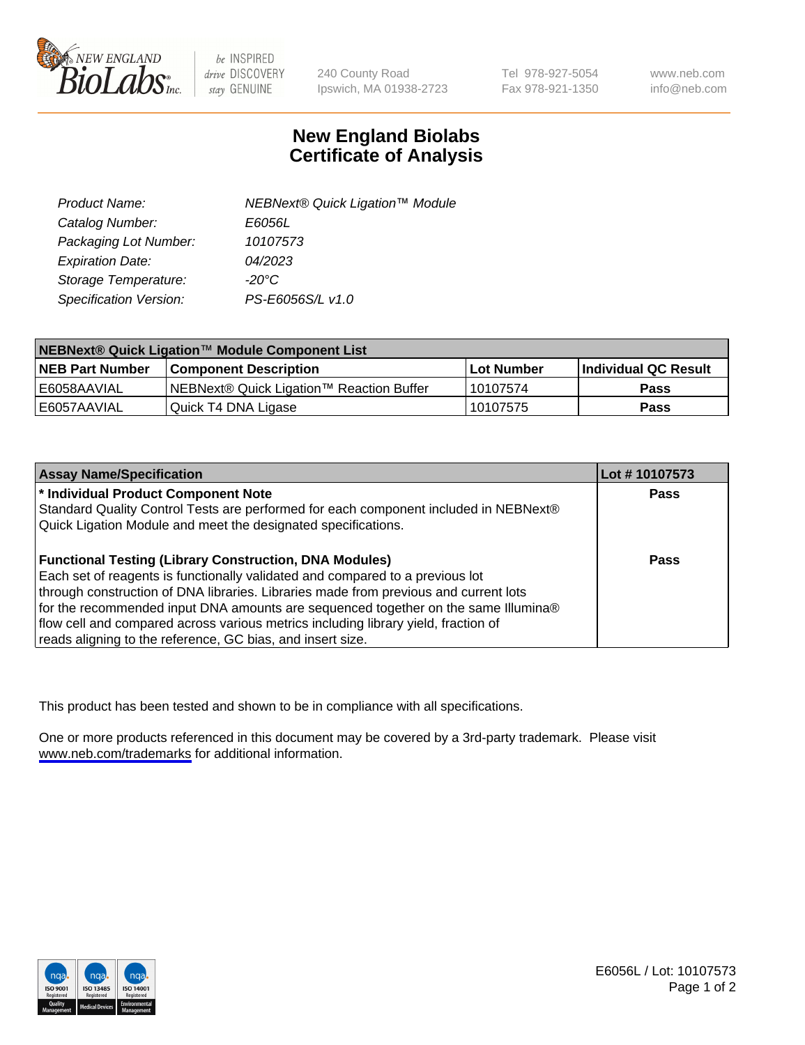

be INSPIRED drive DISCOVERY stay GENUINE

240 County Road Ipswich, MA 01938-2723 Tel 978-927-5054 Fax 978-921-1350

www.neb.com info@neb.com

## **New England Biolabs Certificate of Analysis**

| Product Name:           | NEBNext® Quick Ligation™ Module |
|-------------------------|---------------------------------|
| Catalog Number:         | E6056L                          |
| Packaging Lot Number:   | 10107573                        |
| <b>Expiration Date:</b> | 04/2023                         |
| Storage Temperature:    | $-20^{\circ}$ C                 |
| Specification Version:  | PS-E6056S/L v1.0                |

| NEBNext® Quick Ligation™ Module Component List |                                           |             |                      |  |
|------------------------------------------------|-------------------------------------------|-------------|----------------------|--|
| <b>NEB Part Number</b>                         | <b>Component Description</b>              | ⊺Lot Number | Individual QC Result |  |
| I E6058AAVIAL                                  | INEBNext® Quick Ligation™ Reaction Buffer | 10107574    | <b>Pass</b>          |  |
| I E6057AAVIAL                                  | Quick T4 DNA Ligase                       | 10107575    | <b>Pass</b>          |  |

| <b>Assay Name/Specification</b>                                                      | Lot #10107573 |
|--------------------------------------------------------------------------------------|---------------|
| * Individual Product Component Note                                                  | <b>Pass</b>   |
| Standard Quality Control Tests are performed for each component included in NEBNext® |               |
| Quick Ligation Module and meet the designated specifications.                        |               |
| <b>Functional Testing (Library Construction, DNA Modules)</b>                        | Pass          |
| Each set of reagents is functionally validated and compared to a previous lot        |               |
| through construction of DNA libraries. Libraries made from previous and current lots |               |
| for the recommended input DNA amounts are sequenced together on the same Illumina®   |               |
| flow cell and compared across various metrics including library yield, fraction of   |               |
| reads aligning to the reference, GC bias, and insert size.                           |               |

This product has been tested and shown to be in compliance with all specifications.

One or more products referenced in this document may be covered by a 3rd-party trademark. Please visit <www.neb.com/trademarks>for additional information.